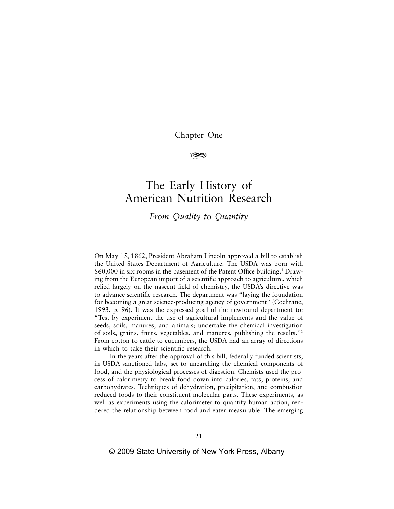Chapter One

 $\approx$ 

## The Early History of American Nutrition Research

*From Quality to Quantity*

On May 15, 1862, President Abraham Lincoln approved a bill to establish the United States Department of Agriculture. The USDA was born with \$60,000 in six rooms in the basement of the Patent Office building.<sup>1</sup> Drawing from the European import of a scientific approach to agriculture, which relied largely on the nascent field of chemistry, the USDA's directive was to advance scientific research. The department was "laying the foundation for becoming a great science-producing agency of government" (Cochrane, 1993, p. 96). It was the expressed goal of the newfound department to: "Test by experiment the use of agricultural implements and the value of seeds, soils, manures, and animals; undertake the chemical investigation of soils, grains, fruits, vegetables, and manures, publishing the results."2 From cotton to cattle to cucumbers, the USDA had an array of directions in which to take their scientific research.

In the years after the approval of this bill, federally funded scientists, in USDA-sanctioned labs, set to unearthing the chemical components of food, and the physiological processes of digestion. Chemists used the process of calorimetry to break food down into calories, fats, proteins, and carbohydrates. Techniques of dehydration, precipitation, and combustion reduced foods to their constituent molecular parts. These experiments, as well as experiments using the calorimeter to quantify human action, rendered the relationship between food and eater measurable. The emerging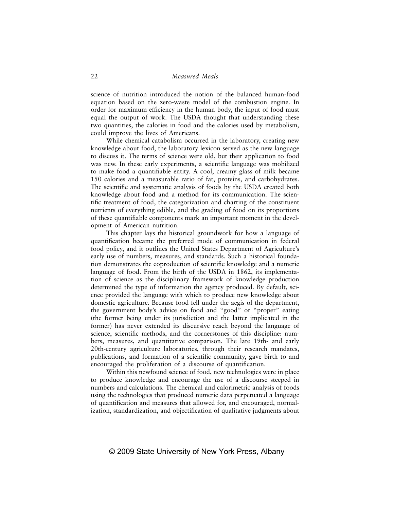science of nutrition introduced the notion of the balanced human-food equation based on the zero-waste model of the combustion engine. In order for maximum efficiency in the human body, the input of food must equal the output of work. The USDA thought that understanding these two quantities, the calories in food and the calories used by metabolism, could improve the lives of Americans.

While chemical catabolism occurred in the laboratory, creating new knowledge about food, the laboratory lexicon served as the new language to discuss it. The terms of science were old, but their application to food was new. In these early experiments, a scientific language was mobilized to make food a quantifiable entity. A cool, creamy glass of milk became 150 calories and a measurable ratio of fat, proteins, and carbohydrates. The scientific and systematic analysis of foods by the USDA created both knowledge about food and a method for its communication. The scientific treatment of food, the categorization and charting of the constituent nutrients of everything edible, and the grading of food on its proportions of these quantifi able components mark an important moment in the development of American nutrition.

This chapter lays the historical groundwork for how a language of quantification became the preferred mode of communication in federal food policy, and it outlines the United States Department of Agriculture's early use of numbers, measures, and standards. Such a historical foundation demonstrates the coproduction of scientific knowledge and a numeric language of food. From the birth of the USDA in 1862, its implementation of science as the disciplinary framework of knowledge production determined the type of information the agency produced. By default, science provided the language with which to produce new knowledge about domestic agriculture. Because food fell under the aegis of the department, the government body's advice on food and "good" or "proper" eating (the former being under its jurisdiction and the latter implicated in the former) has never extended its discursive reach beyond the language of science, scientific methods, and the cornerstones of this discipline: numbers, measures, and quantitative comparison. The late 19th- and early 20th-century agriculture laboratories, through their research mandates, publications, and formation of a scientific community, gave birth to and encouraged the proliferation of a discourse of quantification.

Within this newfound science of food, new technologies were in place to produce knowledge and encourage the use of a discourse steeped in numbers and calculations. The chemical and calorimetric analysis of foods using the technologies that produced numeric data perpetuated a language of quantification and measures that allowed for, and encouraged, normalization, standardization, and objectification of qualitative judgments about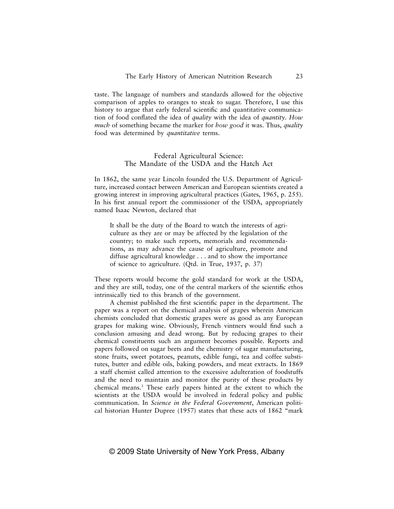taste. The language of numbers and standards allowed for the objective comparison of apples to oranges to steak to sugar. Therefore, I use this history to argue that early federal scientific and quantitative communication of food conflated the idea of *quality* with the idea of *quantity*. How *much* of something became the marker for *how good* it was. Thus, *quality* food was determined by *quantitative* terms.

> Federal Agricultural Science: The Mandate of the USDA and the Hatch Act

In 1862, the same year Lincoln founded the U.S. Department of Agriculture, increased contact between American and European scientists created a growing interest in improving agricultural practices (Gates, 1965, p. 255). In his first annual report the commissioner of the USDA, appropriately named Isaac Newton, declared that

It shall be the duty of the Board to watch the interests of agriculture as they are or may be affected by the legislation of the country; to make such reports, memorials and recommendations, as may advance the cause of agriculture, promote and diffuse agricultural knowledge . . . and to show the importance of science to agriculture. (Qtd. in True, 1937, p. 37)

These reports would become the gold standard for work at the USDA, and they are still, today, one of the central markers of the scientific ethos intrinsically tied to this branch of the government.

A chemist published the first scientific paper in the department. The paper was a report on the chemical analysis of grapes wherein American chemists concluded that domestic grapes were as good as any European grapes for making wine. Obviously, French vintners would find such a conclusion amusing and dead wrong. But by reducing grapes to their chemical constituents such an argument becomes possible. Reports and papers followed on sugar beets and the chemistry of sugar manufacturing, stone fruits, sweet potatoes, peanuts, edible fungi, tea and coffee substitutes, butter and edible oils, baking powders, and meat extracts. In 1869 a staff chemist called attention to the excessive adulteration of foodstuffs and the need to maintain and monitor the purity of these products by chemical means.3 These early papers hinted at the extent to which the scientists at the USDA would be involved in federal policy and public communication. In *Science in the Federal Government*, American political historian Hunter Dupree (1957) states that these acts of 1862 "mark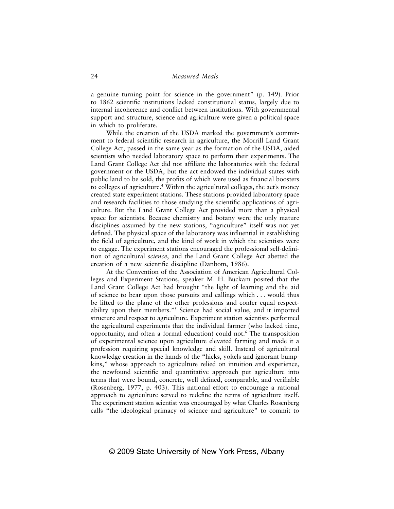a genuine turning point for science in the government" (p. 149). Prior to 1862 scientific institutions lacked constitutional status, largely due to internal incoherence and conflict between institutions. With governmental support and structure, science and agriculture were given a political space in which to proliferate.

While the creation of the USDA marked the government's commitment to federal scientific research in agriculture, the Morrill Land Grant College Act, passed in the same year as the formation of the USDA, aided scientists who needed laboratory space to perform their experiments. The Land Grant College Act did not affiliate the laboratories with the federal government or the USDA, but the act endowed the individual states with public land to be sold, the profits of which were used as financial boosters to colleges of agriculture.4 Within the agricultural colleges, the act's money created state experiment stations. These stations provided laboratory space and research facilities to those studying the scientific applications of agriculture. But the Land Grant College Act provided more than a physical space for scientists. Because chemistry and botany were the only mature disciplines assumed by the new stations, "agriculture" itself was not yet defined. The physical space of the laboratory was influential in establishing the field of agriculture, and the kind of work in which the scientists were to engage. The experiment stations encouraged the professional self-definition of agricultural *science*, and the Land Grant College Act abetted the creation of a new scientific discipline (Danbom, 1986).

At the Convention of the Association of American Agricultural Colleges and Experiment Stations, speaker M. H. Buckam posited that the Land Grant College Act had brought "the light of learning and the aid of science to bear upon those pursuits and callings which . . . would thus be lifted to the plane of the other professions and confer equal respectability upon their members."5 Science had social value, and it imported structure and respect to agriculture. Experiment station scientists performed the agricultural experiments that the individual farmer (who lacked time, opportunity, and often a formal education) could not.6 The transposition of experimental science upon agriculture elevated farming and made it a profession requiring special knowledge and skill. Instead of agricultural knowledge creation in the hands of the "hicks, yokels and ignorant bumpkins," whose approach to agriculture relied on intuition and experience, the newfound scientific and quantitative approach put agriculture into terms that were bound, concrete, well defined, comparable, and verifiable (Rosenberg, 1977, p. 403). This national effort to encourage a rational approach to agriculture served to redefine the terms of agriculture itself. The experiment station scientist was encouraged by what Charles Rosenberg calls "the ideological primacy of science and agriculture" to commit to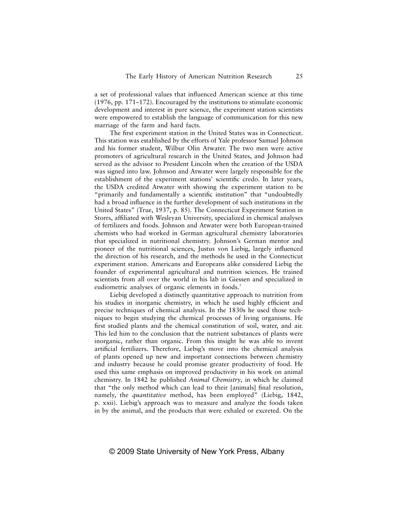a set of professional values that influenced American science at this time (1976, pp. 171–172). Encouraged by the institutions to stimulate economic development and interest in pure science, the experiment station scientists were empowered to establish the language of communication for this new marriage of the farm and hard facts.

The first experiment station in the United States was in Connecticut. This station was established by the efforts of Yale professor Samuel Johnson and his former student, Wilbur Olin Atwater. The two men were active promoters of agricultural research in the United States, and Johnson had served as the advisor to President Lincoln when the creation of the USDA was signed into law. Johnson and Atwater were largely responsible for the establishment of the experiment stations' scientific credo. In later years, the USDA credited Atwater with showing the experiment station to be "primarily and fundamentally a scientific institution" that "undoubtedly had a broad influence in the further development of such institutions in the United States" (True, 1937, p. 85). The Connecticut Experiment Station in Storrs, affiliated with Wesleyan University, specialized in chemical analyses of fertilizers and foods. Johnson and Atwater were both European-trained chemists who had worked in German agricultural chemistry laboratories that specialized in nutritional chemistry. Johnson's German mentor and pioneer of the nutritional sciences, Justus von Liebig, largely influenced the direction of his research, and the methods he used in the Connecticut experiment station. Americans and Europeans alike considered Liebig the founder of experimental agricultural and nutrition sciences. He trained scientists from all over the world in his lab in Giessen and specialized in eudiometric analyses of organic elements in foods.<sup>7</sup>

Liebig developed a distinctly quantitative approach to nutrition from his studies in inorganic chemistry, in which he used highly efficient and precise techniques of chemical analysis. In the 1830s he used those techniques to begin studying the chemical processes of living organisms. He first studied plants and the chemical constitution of soil, water, and air. This led him to the conclusion that the nutrient substances of plants were inorganic, rather than organic. From this insight he was able to invent artificial fertilizers. Therefore, Liebig's move into the chemical analysis of plants opened up new and important connections between chemistry and industry because he could promise greater productivity of food. He used this same emphasis on improved productivity in his work on animal chemistry. In 1842 he published *Animal Chemistry*, in which he claimed that "the only method which can lead to their [animals] final resolution, namely, the *quantitative* method, has been employed" (Liebig, 1842, p. xxii). Liebig's approach was to measure and analyze the foods taken in by the animal, and the products that were exhaled or excreted. On the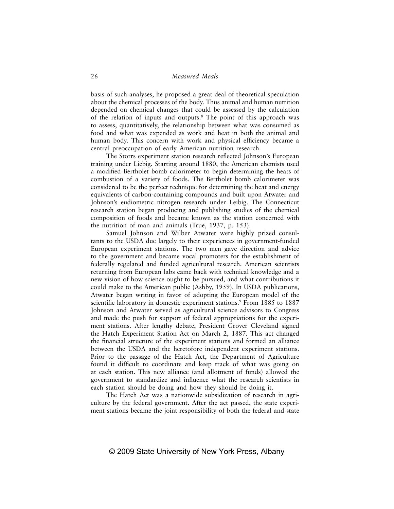basis of such analyses, he proposed a great deal of theoretical speculation about the chemical processes of the body. Thus animal and human nutrition depended on chemical changes that could be assessed by the calculation of the relation of inputs and outputs.8 The point of this approach was to assess, quantitatively, the relationship between what was consumed as food and what was expended as work and heat in both the animal and human body. This concern with work and physical efficiency became a central preoccupation of early American nutrition research.

The Storrs experiment station research reflected Johnson's European training under Liebig. Starting around 1880, the American chemists used a modified Bertholet bomb calorimeter to begin determining the heats of combustion of a variety of foods. The Bertholet bomb calorimeter was considered to be the perfect technique for determining the heat and energy equivalents of carbon-containing compounds and built upon Atwater and Johnson's eudiometric nitrogen research under Leibig. The Connecticut research station began producing and publishing studies of the chemical composition of foods and became known as the station concerned with the nutrition of man and animals (True, 1937, p. 153).

Samuel Johnson and Wilber Atwater were highly prized consultants to the USDA due largely to their experiences in government-funded European experiment stations. The two men gave direction and advice to the government and became vocal promoters for the establishment of federally regulated and funded agricultural research. American scientists returning from European labs came back with technical knowledge and a new vision of how science ought to be pursued, and what contributions it could make to the American public (Ashby, 1959). In USDA publications, Atwater began writing in favor of adopting the European model of the scientific laboratory in domestic experiment stations.<sup>9</sup> From 1885 to 1887 Johnson and Atwater served as agricultural science advisors to Congress and made the push for support of federal appropriations for the experiment stations. After lengthy debate, President Grover Cleveland signed the Hatch Experiment Station Act on March 2, 1887. This act changed the financial structure of the experiment stations and formed an alliance between the USDA and the heretofore independent experiment stations. Prior to the passage of the Hatch Act, the Department of Agriculture found it difficult to coordinate and keep track of what was going on at each station. This new alliance (and allotment of funds) allowed the government to standardize and influence what the research scientists in each station should be doing and how they should be doing it.

The Hatch Act was a nationwide subsidization of research in agriculture by the federal government. After the act passed, the state experiment stations became the joint responsibility of both the federal and state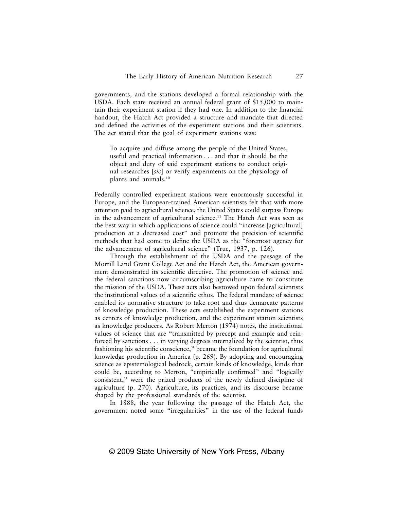governments, and the stations developed a formal relationship with the USDA. Each state received an annual federal grant of \$15,000 to maintain their experiment station if they had one. In addition to the financial handout, the Hatch Act provided a structure and mandate that directed and defined the activities of the experiment stations and their scientists. The act stated that the goal of experiment stations was:

To acquire and diffuse among the people of the United States, useful and practical information . . . and that it should be the object and duty of said experiment stations to conduct original researches [*sic*] or verify experiments on the physiology of plants and animals.10

Federally controlled experiment stations were enormously successful in Europe, and the European-trained American scientists felt that with more attention paid to agricultural science, the United States could surpass Europe in the advancement of agricultural science.<sup>11</sup> The Hatch Act was seen as the best way in which applications of science could "increase [agricultural] production at a decreased cost" and promote the precision of scientific methods that had come to define the USDA as the "foremost agency for the advancement of agricultural science" (True, 1937, p. 126).

Through the establishment of the USDA and the passage of the Morrill Land Grant College Act and the Hatch Act, the American government demonstrated its scientific directive. The promotion of science and the federal sanctions now circumscribing agriculture came to constitute the mission of the USDA. These acts also bestowed upon federal scientists the institutional values of a scientific ethos. The federal mandate of science enabled its normative structure to take root and thus demarcate patterns of knowledge production. These acts established the experiment stations as centers of knowledge production, and the experiment station scientists as knowledge producers. As Robert Merton (1974) notes, the institutional values of science that are "transmitted by precept and example and reinforced by sanctions . . . in varying degrees internalized by the scientist, thus fashioning his scientific conscience," became the foundation for agricultural knowledge production in America (p. 269). By adopting and encouraging science as epistemological bedrock, certain kinds of knowledge, kinds that could be, according to Merton, "empirically confirmed" and "logically consistent," were the prized products of the newly defined discipline of agriculture (p. 270). Agriculture, its practices, and its discourse became shaped by the professional standards of the scientist.

In 1888, the year following the passage of the Hatch Act, the government noted some "irregularities" in the use of the federal funds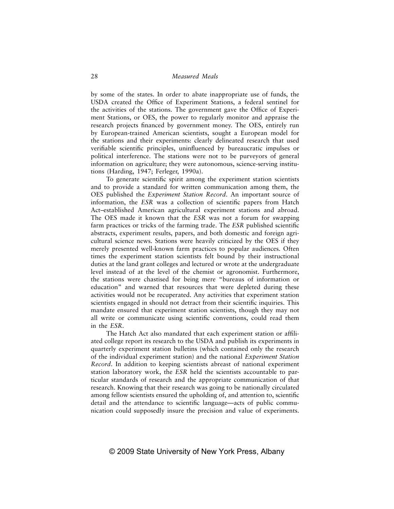by some of the states. In order to abate inappropriate use of funds, the USDA created the Office of Experiment Stations, a federal sentinel for the activities of the stations. The government gave the Office of Experiment Stations, or OES, the power to regularly monitor and appraise the research projects financed by government money. The OES, entirely run by European-trained American scientists, sought a European model for the stations and their experiments: clearly delineated research that used verifiable scientific principles, uninfluenced by bureaucratic impulses or political interference. The stations were not to be purveyors of general information on agriculture; they were autonomous, science-serving institutions (Harding, 1947; Ferleger, 1990a).

To generate scientific spirit among the experiment station scientists and to provide a standard for written communication among them, the OES published the *Experiment Station Record*. An important source of information, the *ESR* was a collection of scientific papers from Hatch Act–established American agricultural experiment stations and abroad. The OES made it known that the *ESR* was not a forum for swapping farm practices or tricks of the farming trade. The *ESR* published scientific abstracts, experiment results, papers, and both domestic and foreign agricultural science news. Stations were heavily criticized by the OES if they merely presented well-known farm practices to popular audiences. Often times the experiment station scientists felt bound by their instructional duties at the land grant colleges and lectured or wrote at the undergraduate level instead of at the level of the chemist or agronomist. Furthermore, the stations were chastised for being mere "bureaus of information or education" and warned that resources that were depleted during these activities would not be recuperated. Any activities that experiment station scientists engaged in should not detract from their scientific inquiries. This mandate ensured that experiment station scientists, though they may not all write or communicate using scientific conventions, could read them in the *ESR*.

The Hatch Act also mandated that each experiment station or affiliated college report its research to the USDA and publish its experiments in quarterly experiment station bulletins (which contained only the research of the individual experiment station) and the national *Experiment Station Record*. In addition to keeping scientists abreast of national experiment station laboratory work, the *ESR* held the scientists accountable to particular standards of research and the appropriate communication of that research. Knowing that their research was going to be nationally circulated among fellow scientists ensured the upholding of, and attention to, scientific detail and the attendance to scientific language—acts of public communication could supposedly insure the precision and value of experiments.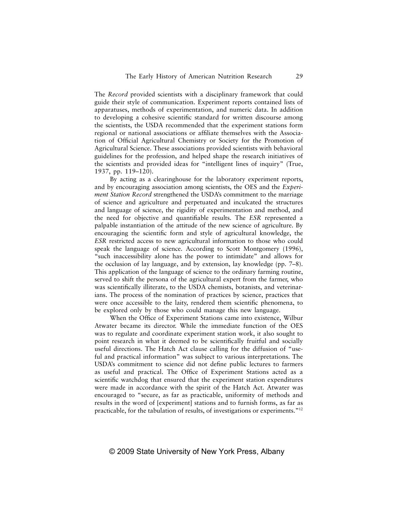The *Record* provided scientists with a disciplinary framework that could guide their style of communication. Experiment reports contained lists of apparatuses, methods of experimentation, and numeric data. In addition to developing a cohesive scientific standard for written discourse among the scientists, the USDA recommended that the experiment stations form regional or national associations or affiliate themselves with the Association of Official Agricultural Chemistry or Society for the Promotion of Agricultural Science. These associations provided scientists with behavioral guidelines for the profession, and helped shape the research initiatives of the scientists and provided ideas for "intelligent lines of inquiry" (True, 1937, pp. 119–120).

By acting as a clearinghouse for the laboratory experiment reports, and by encouraging association among scientists, the OES and the *Experiment Station Record* strengthened the USDA's commitment to the marriage of science and agriculture and perpetuated and inculcated the structures and language of science, the rigidity of experimentation and method, and the need for objective and quantifiable results. The *ESR* represented a palpable instantiation of the attitude of the new science of agriculture. By encouraging the scientific form and style of agricultural knowledge, the *ESR* restricted access to new agricultural information to those who could speak the language of science. According to Scott Montgomery (1996), "such inaccessibility alone has the power to intimidate" and allows for the occlusion of lay language, and by extension, lay knowledge (pp. 7–8). This application of the language of science to the ordinary farming routine, served to shift the persona of the agricultural expert from the farmer, who was scientifically illiterate, to the USDA chemists, botanists, and veterinarians. The process of the nomination of practices by science, practices that were once accessible to the laity, rendered them scientific phenomena, to be explored only by those who could manage this new language.

When the Office of Experiment Stations came into existence, Wilbur Atwater became its director. While the immediate function of the OES was to regulate and coordinate experiment station work, it also sought to point research in what it deemed to be scientifically fruitful and socially useful directions. The Hatch Act clause calling for the diffusion of "useful and practical information" was subject to various interpretations. The USDA's commitment to science did not define public lectures to farmers as useful and practical. The Office of Experiment Stations acted as a scientific watchdog that ensured that the experiment station expenditures were made in accordance with the spirit of the Hatch Act. Atwater was encouraged to "secure, as far as practicable, uniformity of methods and results in the word of [experiment] stations and to furnish forms, as far as practicable, for the tabulation of results, of investigations or experiments."12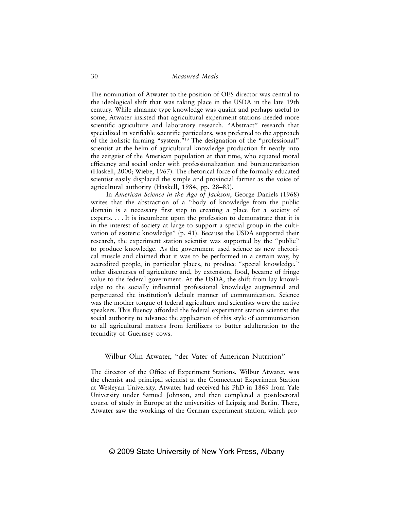The nomination of Atwater to the position of OES director was central to the ideological shift that was taking place in the USDA in the late 19th century. While almanac-type knowledge was quaint and perhaps useful to some, Atwater insisted that agricultural experiment stations needed more scientific agriculture and laboratory research. "Abstract" research that specialized in verifiable scientific particulars, was preferred to the approach of the holistic farming "system."13 The designation of the "professional" scientist at the helm of agricultural knowledge production fit neatly into the zeitgeist of the American population at that time, who equated moral efficiency and social order with professionalization and bureaucratization (Haskell, 2000; Wiebe, 1967). The rhetorical force of the formally educated scientist easily displaced the simple and provincial farmer as the voice of agricultural authority (Haskell, 1984, pp. 28–83).

In *American Science in the Age of Jackson*, George Daniels (1968) writes that the abstraction of a "body of knowledge from the public domain is a necessary first step in creating a place for a society of experts. . . . It is incumbent upon the profession to demonstrate that it is in the interest of society at large to support a special group in the cultivation of esoteric knowledge" (p. 41). Because the USDA supported their research, the experiment station scientist was supported by the "public" to produce knowledge. As the government used science as new rhetorical muscle and claimed that it was to be performed in a certain way, by accredited people, in particular places, to produce "special knowledge," other discourses of agriculture and, by extension, food, became of fringe value to the federal government. At the USDA, the shift from lay knowledge to the socially influential professional knowledge augmented and perpetuated the institution's default manner of communication. Science was the mother tongue of federal agriculture and scientists were the native speakers. This fluency afforded the federal experiment station scientist the social authority to advance the application of this style of communication to all agricultural matters from fertilizers to butter adulteration to the fecundity of Guernsey cows.

## Wilbur Olin Atwater, "der Vater of American Nutrition"

The director of the Office of Experiment Stations, Wilbur Atwater, was the chemist and principal scientist at the Connecticut Experiment Station at Wesleyan University. Atwater had received his PhD in 1869 from Yale University under Samuel Johnson, and then completed a postdoctoral course of study in Europe at the universities of Leipzig and Berlin. There, Atwater saw the workings of the German experiment station, which pro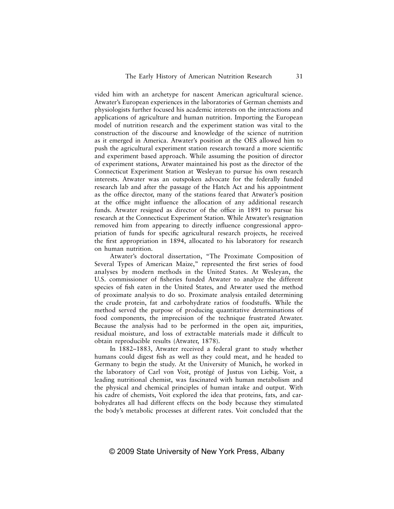vided him with an archetype for nascent American agricultural science. Atwater's European experiences in the laboratories of German chemists and physiologists further focused his academic interests on the interactions and applications of agriculture and human nutrition. Importing the European model of nutrition research and the experiment station was vital to the construction of the discourse and knowledge of the science of nutrition as it emerged in America. Atwater's position at the OES allowed him to push the agricultural experiment station research toward a more scientific and experiment based approach. While assuming the position of director of experiment stations, Atwater maintained his post as the director of the Connecticut Experiment Station at Wesleyan to pursue his own research interests. Atwater was an outspoken advocate for the federally funded research lab and after the passage of the Hatch Act and his appointment as the office director, many of the stations feared that Atwater's position at the office might influence the allocation of any additional research funds. Atwater resigned as director of the office in 1891 to pursue his research at the Connecticut Experiment Station. While Atwater's resignation removed him from appearing to directly influence congressional appropriation of funds for specifi c agricultural research projects, he received the first appropriation in 1894, allocated to his laboratory for research on human nutrition.

Atwater's doctoral dissertation, "The Proximate Composition of Several Types of American Maize," represented the first series of food analyses by modern methods in the United States. At Wesleyan, the U.S. commissioner of fisheries funded Atwater to analyze the different species of fish eaten in the United States, and Atwater used the method of proximate analysis to do so. Proximate analysis entailed determining the crude protein, fat and carbohydrate ratios of foodstuffs. While the method served the purpose of producing quantitative determinations of food components, the imprecision of the technique frustrated Atwater. Because the analysis had to be performed in the open air, impurities, residual moisture, and loss of extractable materials made it difficult to obtain reproducible results (Atwater, 1878).

In 1882–1883, Atwater received a federal grant to study whether humans could digest fish as well as they could meat, and he headed to Germany to begin the study. At the University of Munich, he worked in the laboratory of Carl von Voit, protégé of Justus von Liebig. Voit, a leading nutritional chemist, was fascinated with human metabolism and the physical and chemical principles of human intake and output. With his cadre of chemists, Voit explored the idea that proteins, fats, and carbohydrates all had different effects on the body because they stimulated the body's metabolic processes at different rates. Voit concluded that the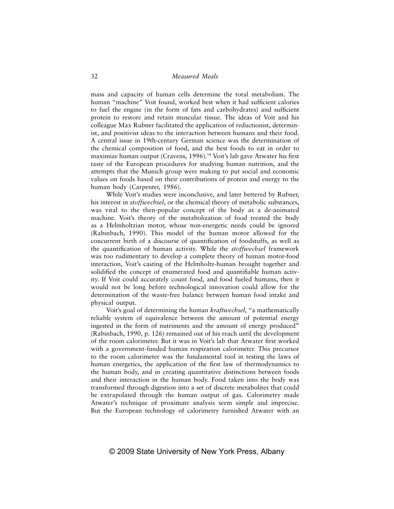mass and capacity of human cells determine the total metabolism. The human "machine" Voit found, worked best when it had sufficient calories to fuel the engine (in the form of fats and carbohydrates) and sufficient protein to restore and retain muscular tissue. The ideas of Voit and his colleague Max Rubner facilitated the application of reductionist, determinist, and positivist ideas to the interaction between humans and their food. A central issue in 19th-century German science was the determination of the chemical composition of food, and the best foods to eat in order to maximize human output (Cravens, 1996).<sup>14</sup> Voit's lab gave Atwater his first taste of the European procedures for studying human nutrition, and the attempts that the Munich group were making to put social and economic values on foods based on their contributions of protein and energy to the human body (Carpenter, 1986).

While Voit's studies were inconclusive, and later bettered by Rubner, his interest in *stoffwechsel*, or the chemical theory of metabolic substances, was vital to the then-popular concept of the body as a de-animated machine. Voit's theory of the metabolization of food treated the body as a Helmholtzian motor, whose non-energetic needs could be ignored (Rabinbach, 1990). This model of the human motor allowed for the concurrent birth of a discourse of quantification of foodstuffs, as well as the quantification of human activity. While the *stoffwechsel* framework was too rudimentary to develop a complete theory of human motor-food interaction, Voit's casting of the Helmholtz-human brought together and solidified the concept of enumerated food and quantifiable human activity. If Voit could accurately count food, and food fueled humans, then it would not be long before technological innovation could allow for the determination of the waste-free balance between human food intake and physical output.

Voit's goal of determining the human *kraftwechsel*, "a mathematically reliable system of equivalence between the amount of potential energy ingested in the form of nutriments and the amount of energy produced" (Rabinbach, 1990, p. 126) remained out of his reach until the development of the room calorimeter. But it was in Voit's lab that Atwater first worked with a government-funded human respiration calorimeter. This precursor to the room calorimeter was the fundamental tool in testing the laws of human energetics, the application of the first law of thermodynamics to the human body, and in creating quantitative distinctions between foods and their interaction in the human body. Food taken into the body was transformed through digestion into a set of discrete metabolites that could be extrapolated through the human output of gas. Calorimetry made Atwater's technique of proximate analysis seem simple and imprecise. But the European technology of calorimetry furnished Atwater with an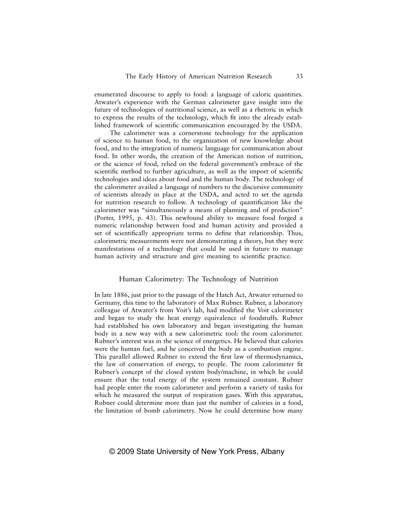enumerated discourse to apply to food: a language of caloric quantities. Atwater's experience with the German calorimeter gave insight into the future of technologies of nutritional science, as well as a rhetoric in which to express the results of the technology, which fit into the already established framework of scientific communication encouraged by the USDA.

The calorimeter was a cornerstone technology for the application of science to human food, to the organization of new knowledge about food, and to the integration of numeric language for communication about food. In other words, the creation of the American notion of nutrition, or the science of food, relied on the federal government's embrace of the scientific method to further agriculture, as well as the import of scientific technologies and ideas about food and the human body. The technology of the calorimeter availed a language of numbers to the discursive community of scientists already in place at the USDA, and acted to set the agenda for nutrition research to follow. A technology of quantification like the calorimeter was "simultaneously a means of planning and of prediction" (Porter, 1995, p. 43). This newfound ability to measure food forged a numeric relationship between food and human activity and provided a set of scientifically appropriate terms to define that relationship. Thus, calorimetric measurements were not demonstrating a theory, but they were manifestations of a technology that could be used in future to manage human activity and structure and give meaning to scientific practice.

## Human Calorimetry: The Technology of Nutrition

In late 1886, just prior to the passage of the Hatch Act, Atwater returned to Germany, this time to the laboratory of Max Rubner. Rubner, a laboratory colleague of Atwater's from Voit's lab, had modified the Voit calorimeter and began to study the heat energy equivalence of foodstuffs. Rubner had established his own laboratory and began investigating the human body in a new way with a new calorimetric tool: the room calorimeter. Rubner's interest was in the science of energetics. He believed that calories were the human fuel, and he conceived the body as a combustion engine. This parallel allowed Rubner to extend the first law of thermodynamics, the law of conservation of energy, to people. The room calorimeter fit Rubner's concept of the closed system body/machine, in which he could ensure that the total energy of the system remained constant. Rubner had people enter the room calorimeter and perform a variety of tasks for which he measured the output of respiration gases. With this apparatus, Rubner could determine more than just the number of calories in a food, the limitation of bomb calorimetry. Now he could determine how many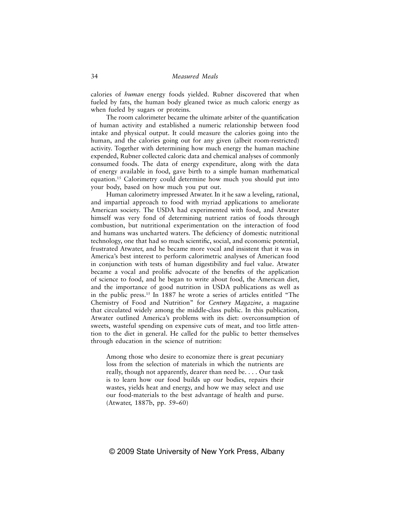calories of *human* energy foods yielded. Rubner discovered that when fueled by fats, the human body gleaned twice as much caloric energy as when fueled by sugars or proteins.

The room calorimeter became the ultimate arbiter of the quantification of human activity and established a numeric relationship between food intake and physical output. It could measure the calories going into the human, and the calories going out for any given (albeit room-restricted) activity. Together with determining how much energy the human machine expended, Rubner collected caloric data and chemical analyses of commonly consumed foods. The data of energy expenditure, along with the data of energy available in food, gave birth to a simple human mathematical equation.15 Calorimetry could determine how much you should put into your body, based on how much you put out.

Human calorimetry impressed Atwater. In it he saw a leveling, rational, and impartial approach to food with myriad applications to ameliorate American society. The USDA had experimented with food, and Atwater himself was very fond of determining nutrient ratios of foods through combustion, but nutritional experimentation on the interaction of food and humans was uncharted waters. The deficiency of domestic nutritional technology, one that had so much scientific, social, and economic potential, frustrated Atwater, and he became more vocal and insistent that it was in America's best interest to perform calorimetric analyses of American food in conjunction with tests of human digestibility and fuel value. Atwater became a vocal and prolific advocate of the benefits of the application of science to food, and he began to write about food, the American diet, and the importance of good nutrition in USDA publications as well as in the public press.15 In 1887 he wrote a series of articles entitled "The Chemistry of Food and Nutrition" for *Century Magazine*, a magazine that circulated widely among the middle-class public. In this publication, Atwater outlined America's problems with its diet: overconsumption of sweets, wasteful spending on expensive cuts of meat, and too little attention to the diet in general. He called for the public to better themselves through education in the science of nutrition:

Among those who desire to economize there is great pecuniary loss from the selection of materials in which the nutrients are really, though not apparently, dearer than need be. . . . Our task is to learn how our food builds up our bodies, repairs their wastes, yields heat and energy, and how we may select and use our food-materials to the best advantage of health and purse. (Atwater, 1887b, pp. 59–60)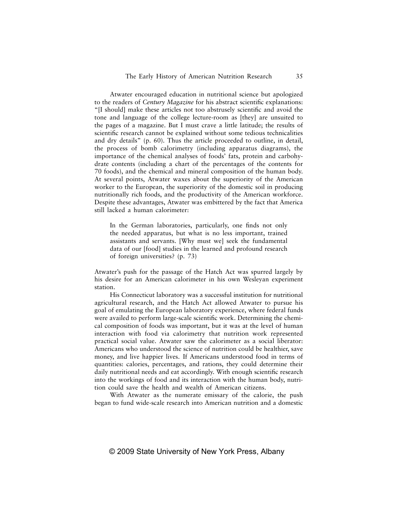Atwater encouraged education in nutritional science but apologized to the readers of *Century Magazine* for his abstract scientific explanations: "[I should] make these articles not too abstrusely scientific and avoid the tone and language of the college lecture-room as [they] are unsuited to the pages of a magazine. But I must crave a little latitude; the results of scientific research cannot be explained without some tedious technicalities and dry details" (p. 60). Thus the article proceeded to outline, in detail, the process of bomb calorimetry (including apparatus diagrams), the importance of the chemical analyses of foods' fats, protein and carbohydrate contents (including a chart of the percentages of the contents for 70 foods), and the chemical and mineral composition of the human body. At several points, Atwater waxes about the superiority of the American worker to the European, the superiority of the domestic soil in producing nutritionally rich foods, and the productivity of the American workforce. Despite these advantages, Atwater was embittered by the fact that America still lacked a human calorimeter:

In the German laboratories, particularly, one finds not only the needed apparatus, but what is no less important, trained assistants and servants. [Why must we] seek the fundamental data of our [food] studies in the learned and profound research of foreign universities? (p. 73)

Atwater's push for the passage of the Hatch Act was spurred largely by his desire for an American calorimeter in his own Wesleyan experiment station.

His Connecticut laboratory was a successful institution for nutritional agricultural research, and the Hatch Act allowed Atwater to pursue his goal of emulating the European laboratory experience, where federal funds were availed to perform large-scale scientific work. Determining the chemical composition of foods was important, but it was at the level of human interaction with food via calorimetry that nutrition work represented practical social value. Atwater saw the calorimeter as a social liberator: Americans who understood the science of nutrition could be healthier, save money, and live happier lives. If Americans understood food in terms of quantities: calories, percentages, and rations, they could determine their daily nutritional needs and eat accordingly. With enough scientific research into the workings of food and its interaction with the human body, nutrition could save the health and wealth of American citizens.

With Atwater as the numerate emissary of the calorie, the push began to fund wide-scale research into American nutrition and a domestic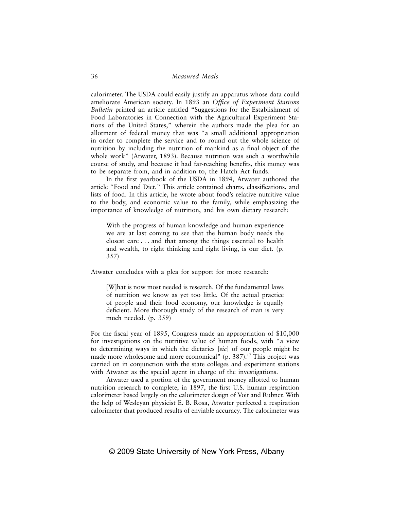calorimeter. The USDA could easily justify an apparatus whose data could ameliorate American society. In 1893 an Office of Experiment Stations *Bulletin* printed an article entitled "Suggestions for the Establishment of Food Laboratories in Connection with the Agricultural Experiment Stations of the United States," wherein the authors made the plea for an allotment of federal money that was "a small additional appropriation in order to complete the service and to round out the whole science of nutrition by including the nutrition of mankind as a final object of the whole work" (Atwater, 1893). Because nutrition was such a worthwhile course of study, and because it had far-reaching benefits, this money was to be separate from, and in addition to, the Hatch Act funds.

In the first yearbook of the USDA in 1894, Atwater authored the article "Food and Diet." This article contained charts, classifications, and lists of food. In this article, he wrote about food's relative nutritive value to the body, and economic value to the family, while emphasizing the importance of knowledge of nutrition, and his own dietary research:

With the progress of human knowledge and human experience we are at last coming to see that the human body needs the closest care . . . and that among the things essential to health and wealth, to right thinking and right living, is our diet. (p. 357)

Atwater concludes with a plea for support for more research:

[W]hat is now most needed is research. Of the fundamental laws of nutrition we know as yet too little. Of the actual practice of people and their food economy, our knowledge is equally deficient. More thorough study of the research of man is very much needed. (p. 359)

For the fiscal year of 1895, Congress made an appropriation of \$10,000 for investigations on the nutritive value of human foods, with "a view to determining ways in which the dietaries [*sic*] of our people might be made more wholesome and more economical"  $(p. 387)$ .<sup>17</sup> This project was carried on in conjunction with the state colleges and experiment stations with Atwater as the special agent in charge of the investigations.

Atwater used a portion of the government money allotted to human nutrition research to complete, in 1897, the first U.S. human respiration calorimeter based largely on the calorimeter design of Voit and Rubner. With the help of Wesleyan physicist E. B. Rosa, Atwater perfected a respiration calorimeter that produced results of enviable accuracy. The calorimeter was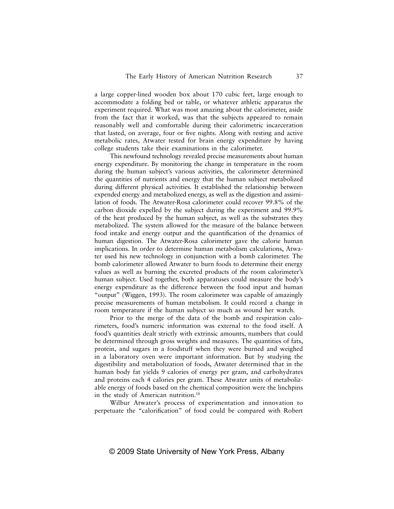a large copper-lined wooden box about 170 cubic feet, large enough to accommodate a folding bed or table, or whatever athletic apparatus the experiment required. What was most amazing about the calorimeter, aside from the fact that it worked, was that the subjects appeared to remain reasonably well and comfortable during their calorimetric incarceration that lasted, on average, four or five nights. Along with resting and active metabolic rates, Atwater tested for brain energy expenditure by having college students take their examinations in the calorimeter.

This newfound technology revealed precise measurements about human energy expenditure. By monitoring the change in temperature in the room during the human subject's various activities, the calorimeter determined the quantities of nutrients and energy that the human subject metabolized during different physical activities. It established the relationship between expended energy and metabolized energy, as well as the digestion and assimilation of foods. The Atwater-Rosa calorimeter could recover 99.8% of the carbon dioxide expelled by the subject during the experiment and 99.9% of the heat produced by the human subject, as well as the substrates they metabolized. The system allowed for the measure of the balance between food intake and energy output and the quantification of the dynamics of human digestion. The Atwater-Rosa calorimeter gave the calorie human implications. In order to determine human metabolism calculations, Atwater used his new technology in conjunction with a bomb calorimeter. The bomb calorimeter allowed Atwater to burn foods to determine their energy values as well as burning the excreted products of the room calorimeter's human subject. Used together, both apparatuses could measure the body's energy expenditure as the difference between the food input and human "output" (Wiggen, 1993). The room calorimeter was capable of amazingly precise measurements of human metabolism. It could record a change in room temperature if the human subject so much as wound her watch.

Prior to the merge of the data of the bomb and respiration calorimeters, food's numeric information was external to the food itself. A food's quantities dealt strictly with extrinsic amounts, numbers that could be determined through gross weights and measures. The quantities of fats, protein, and sugars in a foodstuff when they were burned and weighed in a laboratory oven were important information. But by studying the digestibility and metabolization of foods, Atwater determined that in the human body fat yields 9 calories of energy per gram, and carbohydrates and proteins each 4 calories per gram. These Atwater units of metabolizable energy of foods based on the chemical composition were the linchpins in the study of American nutrition.<sup>18</sup>

Wilbur Atwater's process of experimentation and innovation to perpetuate the "calorification" of food could be compared with Robert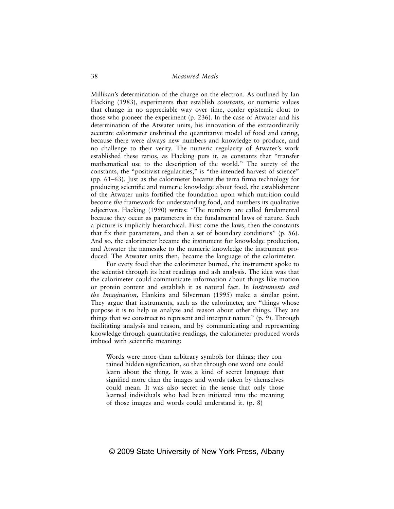Millikan's determination of the charge on the electron. As outlined by Ian Hacking (1983), experiments that establish *constants*, or numeric values that change in no appreciable way over time, confer epistemic clout to those who pioneer the experiment (p. 236). In the case of Atwater and his determination of the Atwater units, his innovation of the extraordinarily accurate calorimeter enshrined the quantitative model of food and eating, because there were always new numbers and knowledge to produce, and no challenge to their verity. The numeric regularity of Atwater's work established these ratios, as Hacking puts it, as constants that "transfer mathematical use to the description of the world." The surety of the constants, the "positivist regularities," is "the intended harvest of science"  $(pp. 61–63)$ . Just as the calorimeter became the terra firma technology for producing scientific and numeric knowledge about food, the establishment of the Atwater units fortified the foundation upon which nutrition could become *the* framework for understanding food, and numbers its qualitative adjectives. Hacking (1990) writes: "The numbers are called fundamental because they occur as parameters in the fundamental laws of nature. Such a picture is implicitly hierarchical. First come the laws, then the constants that fix their parameters, and then a set of boundary conditions" (p. 56). And so, the calorimeter became the instrument for knowledge production, and Atwater the namesake to the numeric knowledge the instrument produced. The Atwater units then, became the language of the calorimeter.

For every food that the calorimeter burned, the instrument spoke to the scientist through its heat readings and ash analysis. The idea was that the calorimeter could communicate information about things like motion or protein content and establish it as natural fact. In *Instruments and the Imagination*, Hankins and Silverman (1995) make a similar point. They argue that instruments, such as the calorimeter, are "things whose purpose it is to help us analyze and reason about other things. They are things that we construct to represent and interpret nature" (p. 9). Through facilitating analysis and reason, and by communicating and representing knowledge through quantitative readings, the calorimeter produced words imbued with scientific meaning:

Words were more than arbitrary symbols for things; they contained hidden signification, so that through one word one could learn about the thing. It was a kind of secret language that signified more than the images and words taken by themselves could mean. It was also secret in the sense that only those learned individuals who had been initiated into the meaning of those images and words could understand it. (p. 8)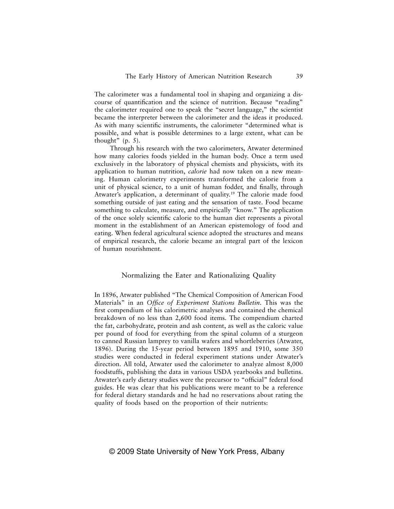The calorimeter was a fundamental tool in shaping and organizing a discourse of quantification and the science of nutrition. Because "reading" the calorimeter required one to speak the "secret language," the scientist became the interpreter between the calorimeter and the ideas it produced. As with many scientific instruments, the calorimeter "determined what is possible, and what is possible determines to a large extent, what can be thought"  $(p, 5)$ .

Through his research with the two calorimeters, Atwater determined how many calories foods yielded in the human body. Once a term used exclusively in the laboratory of physical chemists and physicists, with its application to human nutrition, *calorie* had now taken on a new meaning. Human calorimetry experiments transformed the calorie from a unit of physical science, to a unit of human fodder, and finally, through Atwater's application, a determinant of quality.19 The calorie made food something outside of just eating and the sensation of taste. Food became something to calculate, measure, and empirically "know." The application of the once solely scientific calorie to the human diet represents a pivotal moment in the establishment of an American epistemology of food and eating. When federal agricultural science adopted the structures and means of empirical research, the calorie became an integral part of the lexicon of human nourishment.

## Normalizing the Eater and Rationalizing Quality

In 1896, Atwater published "The Chemical Composition of American Food Materials" in an *Office of Experiment Stations Bulletin*. This was the first compendium of his calorimetric analyses and contained the chemical breakdown of no less than 2,600 food items. The compendium charted the fat, carbohydrate, protein and ash content, as well as the caloric value per pound of food for everything from the spinal column of a sturgeon to canned Russian lamprey to vanilla wafers and whortleberries (Atwater, 1896). During the 15-year period between 1895 and 1910, some 350 studies were conducted in federal experiment stations under Atwater's direction. All told, Atwater used the calorimeter to analyze almost 8,000 foodstuffs, publishing the data in various USDA yearbooks and bulletins. Atwater's early dietary studies were the precursor to "official" federal food guides. He was clear that his publications were meant to be a reference for federal dietary standards and he had no reservations about rating the quality of foods based on the proportion of their nutrients: